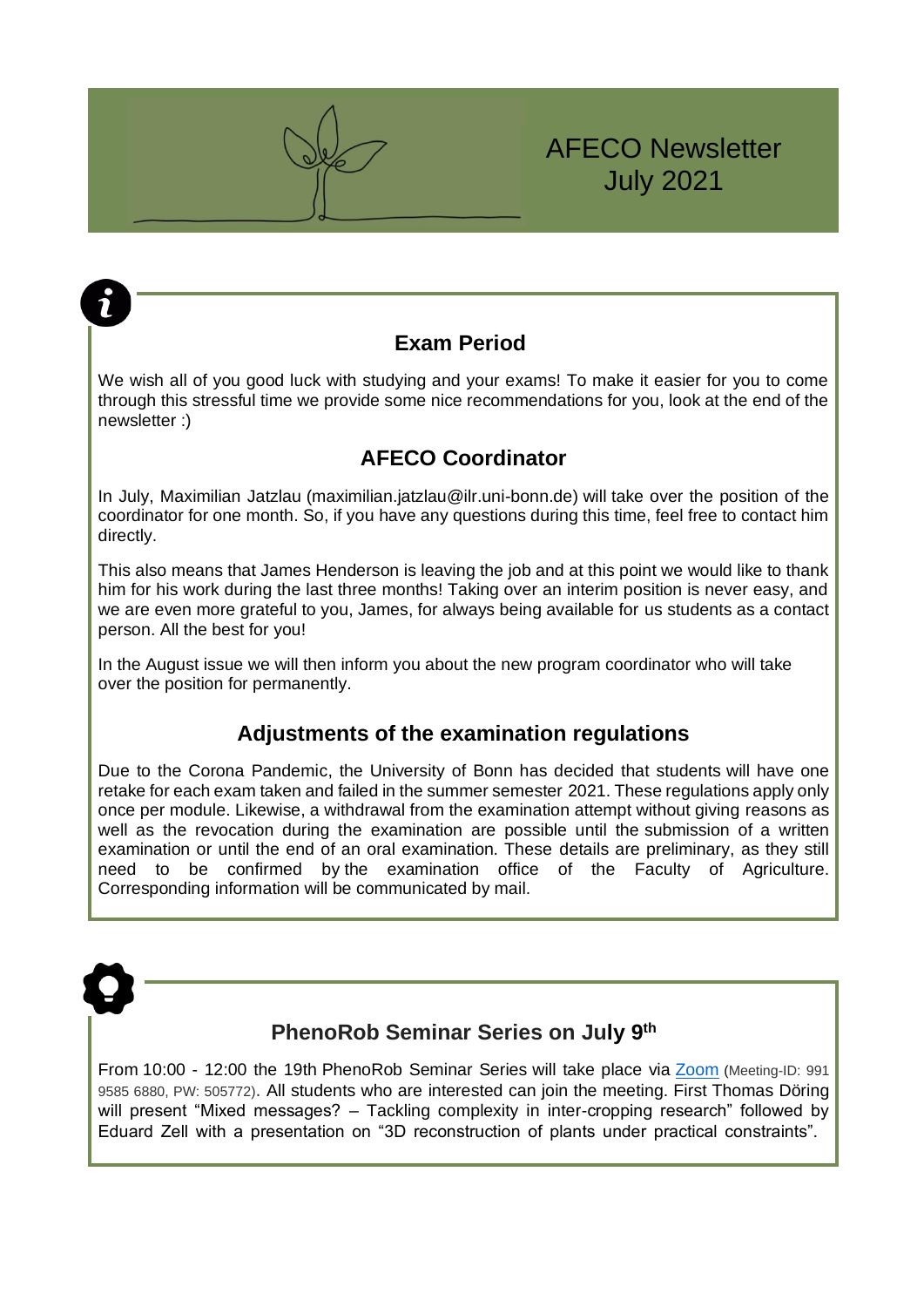# AFECO Newsletter July 2021

## **Exam Period**

We wish all of you good luck with studying and your exams! To make it easier for you to come through this stressful time we provide some nice recommendations for you, look at the end of the newsletter :)

# **AFECO Coordinator**

In July, Maximilian Jatzlau (maximilian.jatzlau@ilr.uni-bonn.de) will take over the position of the coordinator for one month. So, if you have any questions during this time, feel free to contact him directly.

This also means that James Henderson is leaving the job and at this point we would like to thank him for his work during the last three months! Taking over an interim position is never easy, and we are even more grateful to you, James, for always being available for us students as a contact person. All the best for you!

In the August issue we will then inform you about the new program coordinator who will take over the position for permanently.

## **Adjustments of the examination regulations**

Due to the Corona Pandemic, the University of Bonn has decided that students will have one retake for each exam taken and failed in the summer semester 2021. These regulations apply only once per module. Likewise, a withdrawal from the examination attempt without giving reasons as well as the revocation during the examination are possible until the submission of a written examination or until the end of an oral examination. These details are preliminary, as they still need to be confirmed by the examination office of the Faculty of Agriculture. Corresponding information will be communicated by mail.



7

# **PhenoRob Seminar Series on July 9 th**

From 10:00 - 12:00 the 19th PhenoRob Seminar Series will take place via [Zoom](https://uni-bonn.zoom.us/j/99195856880?pwd=YWNQWS9IK0FKL3hCNzV4T2YyQjdMZz09) (Meeting-ID: 991 9585 6880, PW: 505772). All students who are interested can join the meeting. First Thomas Döring will present "Mixed messages? – Tackling complexity in inter-cropping research" followed by Eduard Zell with a presentation on "3D reconstruction of plants under practical constraints".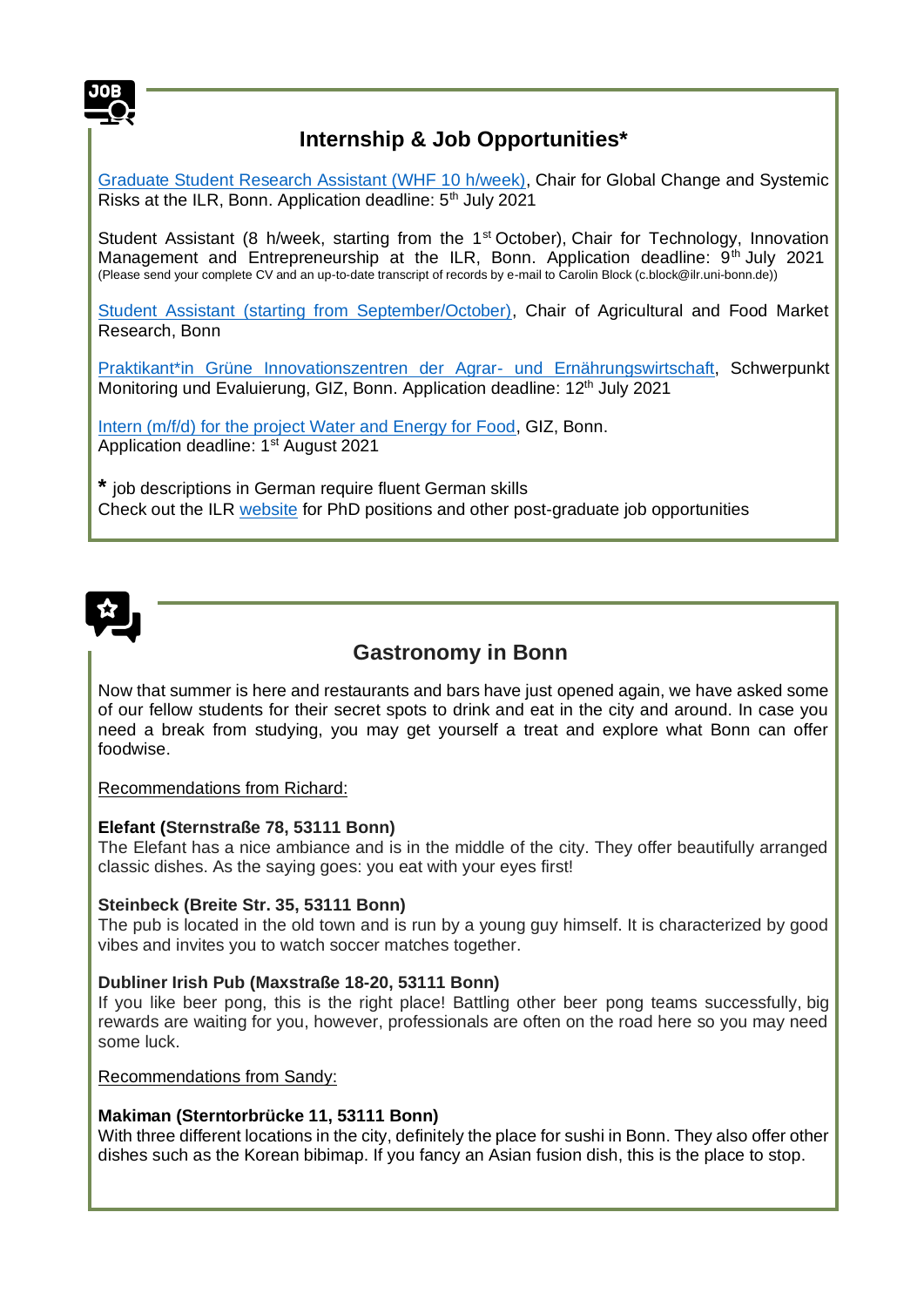

# **Internship & Job Opportunities\***

[Graduate Student Research Assistant \(WHF 10 h/week\),](https://www.bonnalliance-icb.de/wp-content/uploads/2021/06/WHF-job-offer_70-13-53_DE_ENG.pdf) Chair for Global Change and Systemic Risks at the ILR, Bonn. Application deadline:  $5<sup>th</sup>$  July 2021

Student Assistant (8 h/week, starting from the 1<sup>st</sup> October), Chair for Technology, Innovation Management and Entrepreneurship at the ILR, Bonn. Application deadline:  $9<sup>th</sup>$  July 2021 (Please send your complete CV and an up-to-date transcript of records by e-mail to Carolin Block (c.block@ilr.uni-bonn.de))

[Student Assistant \(starting from September/October\),](https://www.ilr1.uni-bonn.de/de/jobs/ausschreibung-0921-allgemein.pdf) Chair of Agricultural and Food Market Research, Bonn

[Praktikant\\*in Grüne Innovationszentren der Agrar-](https://jobs.giz.de/index.php?ac=jobad&code=VWphOlExh4peWgtdddlpkexqsesDHP3iN7yDztOu8MpUS/Yv7bzbwpoYOBydvizx7OsqRjvwtEJknfsdWEhCf6ITywN1QF2N) und Ernährungswirtschaft, Schwerpunkt Monitoring und Evaluierung, GIZ, Bonn. Application deadline: 12<sup>th</sup> July 2021

[Intern \(m/f/d\) for the project Water and Energy for Food,](https://jobs.giz.de/index.php?ac=jobad&code=yKvgVJvinR8Jm4yEXxEbTrRKGHjRVq3AcqVFR8BFmTytqPT12JEUlvPFiujYrsfsD5%2BxTZyfG4Hkti9J34vENfJKvt5q%2FVch) GIZ, Bonn. Application deadline: 1<sup>st</sup> August 2021

**\*** job descriptions in German require fluent German skills Check out the ILR [website](https://www.ilr1.uni-bonn.de/de/jobs) for PhD positions and other post-graduate job opportunities



### **Gastronomy in Bonn**

Now that summer is here and restaurants and bars have just opened again, we have asked some of our fellow students for their secret spots to drink and eat in the city and around. In case you need a break from studying, you may get yourself a treat and explore what Bonn can offer foodwise.

Recommendations from Richard:

#### **Elefant (Sternstraße 78, 53111 Bonn)**

The Elefant has a nice ambiance and is in the middle of the city. They offer beautifully arranged classic dishes. As the saying goes: you eat with your eyes first!

#### **Steinbeck (Breite Str. 35, 53111 Bonn)**

The pub is located in the old town and is run by a young guy himself. It is characterized by good vibes and invites you to watch soccer matches together.

#### **Dubliner Irish Pub (Maxstraße 18-20, 53111 Bonn)**

If you like beer pong, this is the right place! Battling other beer pong teams successfully, big rewards are waiting for you, however, professionals are often on the road here so you may need some luck.

Recommendations from Sandy:

#### **Makiman (Sterntorbrücke 11, 53111 Bonn)**

With three different locations in the city, definitely the place for sushi in Bonn. They also offer other dishes such as the Korean bibimap. If you fancy an Asian fusion dish, this is the place to stop.